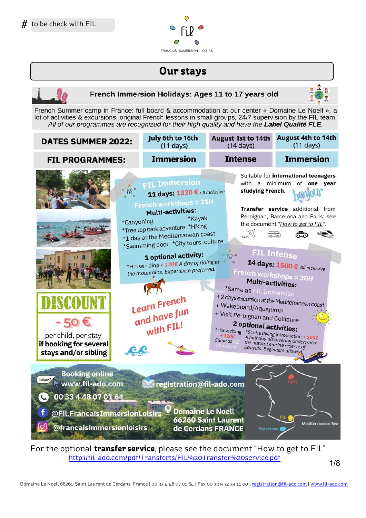

# **Our stays**



For the optional **transfer service**, please see the document "How to get to FIL" http://fil-ado.com/pdf/Transferts/FIL%20Transfer%20service.pdf

2/9 1/8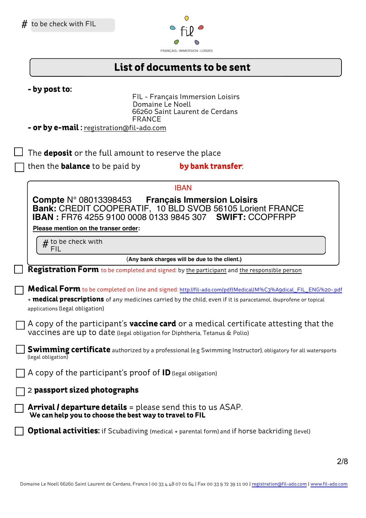

# **List of documents to be sent**

| - by post to:<br>FIL - Français Immersion Loisirs<br>Domaine Le Noell<br>66260 Saint Laurent de Cerdans<br><b>FRANCE</b><br><b>- or by e-mail:</b> registration@fil-ado.com                                                                                               |
|---------------------------------------------------------------------------------------------------------------------------------------------------------------------------------------------------------------------------------------------------------------------------|
| . The <b>deposit</b> or the full amount to reserve the place                                                                                                                                                                                                              |
| ] then the <b>balance</b> to be paid by<br>by bank transfer:                                                                                                                                                                                                              |
| <b>IBAN</b>                                                                                                                                                                                                                                                               |
| Compte $N^{\circ}$ 08013398453 Français Immersion Loisirs<br>Bank: CREDIT COOPERATIF, 10 BLD SVOB 56105 Lorient FRANCE<br><b>IBAN: FR76 4255 9100 0008 0133 9845 307 SWIFT: CCOPFRPP</b>                                                                                  |
| Please mention on the transer order:                                                                                                                                                                                                                                      |
| $\#$ to be check with<br>FIL                                                                                                                                                                                                                                              |
| (Any bank charges will be due to the client.)                                                                                                                                                                                                                             |
| Registration Form to be completed and signed: by the participant and the responsible person                                                                                                                                                                               |
| Medical Form to be completed on line and signed: http://fil-ado.com/pdf/Medical/M%C3%Agdical_FIL_ENG%20-.pdf<br>+ <b>medical prescriptions</b> of any medicines carried by the child, even if it is paracetamol, ibuprofene or topical<br>applications (legal obligation) |
| ] A copy of the participant's <b>vaccine card</b> or a medical certificate attesting that the<br>vaccines are up to date (legal obligation for Diphtheria, Tetanus & Polio)                                                                                               |
| <b>Swimming certificate</b> authorized by a professional (e.g Swimming Instructor), obligatory for all watersports<br>(legal obligation)                                                                                                                                  |
| $\Box$ A copy of the participant's proof of ID (legal obligation)                                                                                                                                                                                                         |
| $\overline{\phantom{x}}$ 2 passport sized photographs                                                                                                                                                                                                                     |
| <b>Arrival / departure details</b> = please send this to us ASAP.                                                                                                                                                                                                         |

**Optional activities:** if Scubadiving (medical + parental form) and if horse backriding (level)

**We can help you to choose the best way to travel to FIL**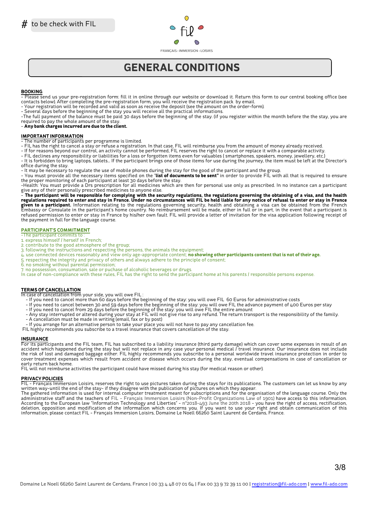

# **GÉNÉRAL CONDITIONS**

### **BOOKING**

Please send us your pre-registration form: fill it in online through our website or download it. Return this form to our central booking office (see contacts below). After completing the pre-registration form, you will receive the registration pack by email.

- Your registration will be recorded and valid as soon as receive the deposit (see the amount on the order-form).

- Several days before the beginning of the stay you will receive all the practical informations.

-The full payment of the balance must be paid 30 days before the beginning of the stay. (if you register within the month before the the stay, you are required to pay the whole amount of the stay.

### - **Any bank charges incurred are due to the client.**

### **IMPORTANT INFORMATION**

- The number of participants per programme is limited.

- FIL has the right to cancel a stay or refuse a registration. In that case, FIL will reimburse you from the amount of money already received.

- If for reasons beyond our control, an activity cannot be performed, FIL reserves the right to cancel or replace it with a comparable activity.

- FIL declines any responsibility or liabilities for a loss or forgotten items even for valuables ( smartphones, speakers, money, jewellery, etc.) - It is forbidden to bring laptops, tablets... If the participant brings one of those items for use during the journey, the item must be left at the Director's office during the stay.

- It may be necessary to regulate the use of mobile phones during the stay for the good of the participant and the group. - You must provide all the necessary items specified on the "**list of documents to be sent"** in order to provide FIL with all that is required to ensure the proper monitoring of each participant at least 30 days before the stay.

-Health: You must provide a Drs prescription for all medicines which are then for personal use only as prescribed. In no instance can a participant give any of their personally prescribed medicines to anyone else.

- The participant will be responsible for complying with the security regulations, the regulations governing the obtaining of a visa, and the health regulations required to enter and stay in France. Under no circumstances will FIL be held liable for any notice of refusal to enter or stay in France **given to a participant.** Information relating to the regulations governing security, health and obtainig a visa can be obtained from the French<br>Embassy or Consulate in the participant's home country. No reimbursement will refused permission to enter or stay in France by his/her own fault. FIL will provide a letter of invitation for the visa application following receipt of the payment in full for the language course.

### **PARTICIPANT'S COMMITMENT**

-The participant commits to :

- 1. express himself / herself in French; 2. contribute to the good atmosphere of the group;
- 3. following the instructions and respecting the persons, the animals the equipment;
- 4. use connected devices reasonably and view only age-appropriate content; **no showing other participants content that is not of their age.**
- 5. respecting the integrity and privacy of others and always adhere to the principle of consent;
- 6. no smoking without parental permission;
- 7. no possession, consumation, sale or puchase of alcoholic beverages or drugs.

In case of non-compliance with these rules, FIL has the right to send the participant home at his parents / responsible persons expense.

#### **TERMS OF CANCELLATION**

In case of cancellation from your side, you will owe FIL :

- If you need to cancel more than 60 days before the beginning of the stay: you will owe FIL 60 Euros for administrative costs
- If you need to cancel between 30 and 59 days before the beginning of the stay: you will owe FIL the advance payment of 400 Euros per stay
- If you need to cancel from 29 days before the beginning of the stay: you will owe FIL the entire amount
- Any stay interrupted or altered during your stay at FIL will not give rise to any refund. The return transport is the responsibility of the family.
- A cancellation must be made in writing (email, fax or by post)
- If you arrange for an alternative person to take your place you will not have to pay any cancellation fee.
- FIL highly recommends you subscribe to a travel insurance that covers cancellation of the stay.

#### **INSURANCE**

For its participants and the FIL team, FIL has subscribed to a liability insurance (third party damage) which can cover some expenses in result of an accident which happened during the stay but will not replace in any case your personal medical / travel insurance. Our insurance does not include the risk of lost and damaged baggage either. FIL highly recommends you subscribe to a personal worldwide travel insurance protection in order to cover treatment expenses which result from accident or disease which occurs during the stay, eventual compensations in case of cancellation or early return back home.

FIL will not reimburse activities the participant could have missed during his stay (for medical reason or other).

#### **PRIVACY POLICIES**

FIL - Français Immersion Loisirs, reserves the right to use pictures taken during the stays for its publications. The customers can let us know by any written way-until the end of the stay- if they disagree with the publication of pictures on which they appear.

The gathered information is used for internal computer treatment meant for subscriptions and for the organisation of the language course. Only the administrative staff and the teachers of FIL - Français Immersion Loisirs (Non-Profit Organizations Law of 1901) have access to this information. According to the European law "Information Technology and Liberties" - n°2018-493 June the 20th 2018 - you have the right of access, rectification, deletion, opposition and modification of the information which concerns you. If you want to use your right and obtain communication of this information, please contact FIL - Français Immersion Loisirs, Domaine Le Noell 66260 Saint Laurent de Cerdans, France.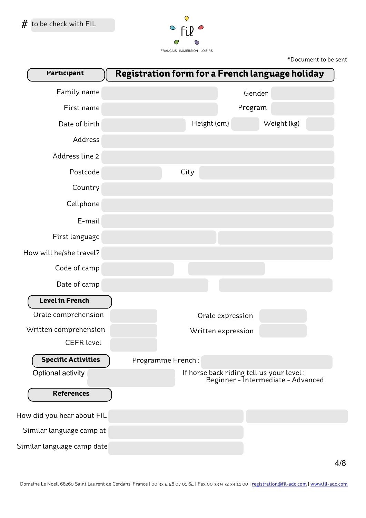

\*Document to be sent

| Participant                | Registration form for a French language holiday |                   |                    |                                                                                |  |
|----------------------------|-------------------------------------------------|-------------------|--------------------|--------------------------------------------------------------------------------|--|
| Family name                |                                                 |                   |                    | Gender                                                                         |  |
| First name                 |                                                 |                   |                    | Program                                                                        |  |
| Date of birth              |                                                 |                   | Height (cm)        | Weight (kg)                                                                    |  |
| Address                    |                                                 |                   |                    |                                                                                |  |
| Address line 2             |                                                 |                   |                    |                                                                                |  |
| Postcode                   |                                                 | City              |                    |                                                                                |  |
| Country                    |                                                 |                   |                    |                                                                                |  |
| Cellphone                  |                                                 |                   |                    |                                                                                |  |
| E-mail                     |                                                 |                   |                    |                                                                                |  |
| First language             |                                                 |                   |                    |                                                                                |  |
| How will he/she travel?    |                                                 |                   |                    |                                                                                |  |
| Code of camp               |                                                 |                   |                    |                                                                                |  |
| Date of camp               |                                                 |                   |                    |                                                                                |  |
| Level in French            |                                                 |                   |                    |                                                                                |  |
| Orale comprehension        |                                                 |                   | Orale expression   |                                                                                |  |
| Written comprehension      |                                                 |                   | Written expression |                                                                                |  |
| <b>CEFR</b> level          |                                                 |                   |                    |                                                                                |  |
| <b>Specific Activities</b> |                                                 | Programme French: |                    |                                                                                |  |
| Optional activity          |                                                 |                   |                    | If horse back riding tell us your level:<br>Beginner - Intermediate - Advanced |  |
| <b>References</b>          |                                                 |                   |                    |                                                                                |  |
| How did you hear about FIL |                                                 |                   |                    |                                                                                |  |
| Similar language camp at   |                                                 |                   |                    |                                                                                |  |
| Similar language camp date |                                                 |                   |                    |                                                                                |  |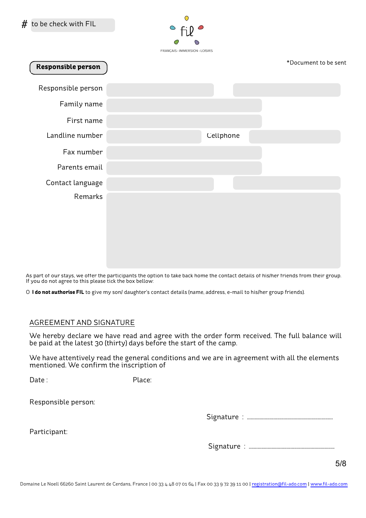

| Responsible person |           | *Document to be sent |
|--------------------|-----------|----------------------|
| Responsible person |           |                      |
| Family name        |           |                      |
| First name         |           |                      |
| Landline number    | Cellphone |                      |
| Fax number         |           |                      |
| Parents email      |           |                      |
| Contact language   |           |                      |
| Remarks            |           |                      |
|                    |           |                      |
|                    |           |                      |
|                    |           |                      |
|                    |           |                      |

As part of our stays, we offer the participants the option to take back home the contact details of his/her friends from their group. If you do not agree to this please tick the box bellow:

O **I do not authorise FIL** to give my son/ daughter's contact details (name, address, e-mail to his/her group friends).

## AGREEMENT AND SIGNATURE

We hereby declare we have read and agree with the order form received. The full balance will be paid at the latest 30 (thirty) days before the start of the camp.

We have attentively read the general conditions and we are in agreement with all the elements mentioned. We confirm the inscription of

Date : Place:

Responsible person:

Signature : ....................................................................

Participant:

Signature : ....................................................................

6/9 5/8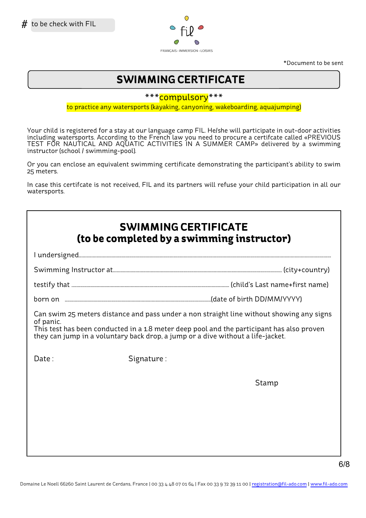

\*Document to be sent

# **SWIMMING CERTIFICATE**

\*\*\*compulsory\*\*\*

to practice any watersports (kayaking, canyoning, wakeboarding, aquajumping)

Your child is registered for a stay at our language camp FIL. He/she will participate in out-door activities including watersports. According to the French law you need to procure a certifcate called «PREVIOUS TEST FOR NAUTICAL AND AQUATIC ACTIVITIES IN A SUMMER CAMP» delivered by a swimming instructor (school / swimming-pool).

Or you can enclose an equivalent swimming certificate demonstrating the participant's ability to swim 25 meters.

In case this certifcate is not received, FIL and its partners will refuse your child participation in all our watersports.

| <b>SWIMMING CERTIFICATE</b><br>(to be completed by a swimming instructor)                                                                                                                                                                                                             |            |       |  |  |  |
|---------------------------------------------------------------------------------------------------------------------------------------------------------------------------------------------------------------------------------------------------------------------------------------|------------|-------|--|--|--|
|                                                                                                                                                                                                                                                                                       |            |       |  |  |  |
|                                                                                                                                                                                                                                                                                       |            |       |  |  |  |
|                                                                                                                                                                                                                                                                                       |            |       |  |  |  |
|                                                                                                                                                                                                                                                                                       |            |       |  |  |  |
| Can swim 25 meters distance and pass under a non straight line without showing any signs<br>of panic.<br>This test has been conducted in a 1.8 meter deep pool and the participant has also proven<br>they can jump in a voluntary back drop, a jump or a dive without a life-jacket. |            |       |  |  |  |
| Date:                                                                                                                                                                                                                                                                                 | Signature: |       |  |  |  |
|                                                                                                                                                                                                                                                                                       |            | Stamp |  |  |  |
|                                                                                                                                                                                                                                                                                       |            |       |  |  |  |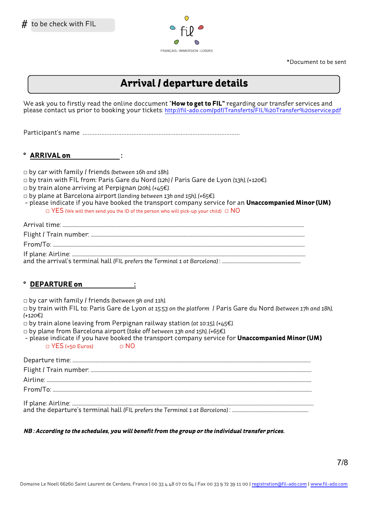

\*Document to be sent

**Arrival / departure details**

We ask you to firstly read the online doccument "**How to get to FIL"** regarding our transfer services and please contact us prior to booking your tickets: http://fil-ado.com/pdf/Transferts/FIL%20Transfer%20service.pdf

Participant's name *.............................................................................................*

 $\blacksquare$  ARRIVAL on :

*□* by car with family / friends *(between 16h and 18h)*.

- *□* by train with FIL from: Paris Gare du Nord *(12h)* / Paris Gare de Lyon *(13h), (+120€).*
- *□* by train alone arriving at Perpignan *(20h), (+45€).*
- *□* by plane at Barcelona airport (*landing between 13h and 15h), (+65€).*
- please indicate if you have booked the transport company service for an **Unaccompanied Minor (UM)** *□* YES (We will then send you the ID of the person who will pick-up your child) *□* NO

Arrival time: ................................................................................................................................................................................................................. Flight / Train number: ......................................................................................................................................................................................... From/To: ..........................................................................................................................................................................................................................

If plane: Airline: ..........................................................................................................................................................................................................

and the arrival's terminal hall *(FIL prefers the Terminal 1 at Barcelona)* : ....................................................................

## **° DEPARTURE on :**

*□* by car with family / friends *(between 9h and 11h)*.

*□* by train with FIL to: Paris Gare de Lyon *at 15:53 on the platform* / Paris Gare du Nord *(between 17h and 18h), (+120€).*

*□* by train alone leaving from Perpignan railway station *(at 10:15), (+45€).*

- *□* by plane from Barcelona airport (*take off between 13h and 15h), (+65€).*
- please indicate if you have booked the transport company service for **Unaccompanied Minor (UM)** *□* YES (+50 Euros) *□* NO

### **NB : According to the schedules, you will benefit from the group or the individual transfer prices.**